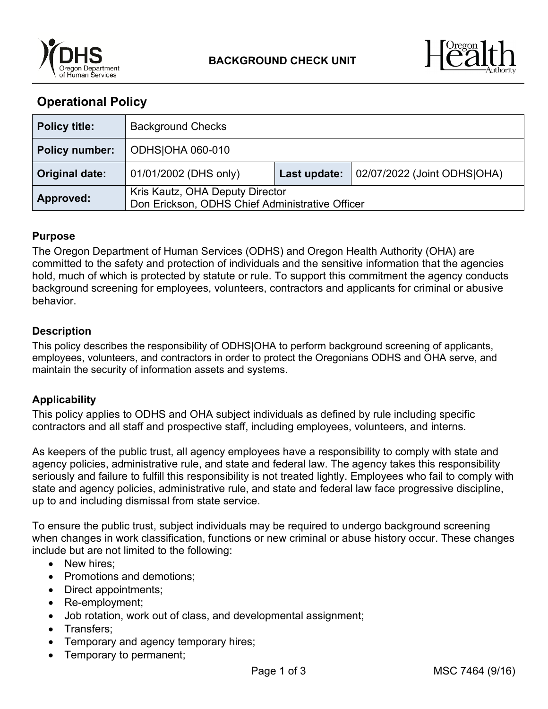



# **Operational Policy**

| <b>Policy title:</b>  | <b>Background Checks</b>                                                           |              |                             |
|-----------------------|------------------------------------------------------------------------------------|--------------|-----------------------------|
| <b>Policy number:</b> | <b>ODHSOHA 060-010</b>                                                             |              |                             |
| Original date:        | 01/01/2002 (DHS only)                                                              | Last update: | 02/07/2022 (Joint ODHS OHA) |
| <b>Approved:</b>      | Kris Kautz, OHA Deputy Director<br>Don Erickson, ODHS Chief Administrative Officer |              |                             |

## **Purpose**

The Oregon Department of Human Services (ODHS) and Oregon Health Authority (OHA) are committed to the safety and protection of individuals and the sensitive information that the agencies hold, much of which is protected by statute or rule. To support this commitment the agency conducts background screening for employees, volunteers, contractors and applicants for criminal or abusive behavior.

## **Description**

This policy describes the responsibility of ODHS|OHA to perform background screening of applicants, employees, volunteers, and contractors in order to protect the Oregonians ODHS and OHA serve, and maintain the security of information assets and systems.

# **Applicability**

This policy applies to ODHS and OHA subject individuals as defined by rule including specific contractors and all staff and prospective staff, including employees, volunteers, and interns.

As keepers of the public trust, all agency employees have a responsibility to comply with state and agency policies, administrative rule, and state and federal law. The agency takes this responsibility seriously and failure to fulfill this responsibility is not treated lightly. Employees who fail to comply with state and agency policies, administrative rule, and state and federal law face progressive discipline, up to and including dismissal from state service.

To ensure the public trust, subject individuals may be required to undergo background screening when changes in work classification, functions or new criminal or abuse history occur. These changes include but are not limited to the following:

- New hires:
- Promotions and demotions;
- Direct appointments;
- Re-employment;
- Job rotation, work out of class, and developmental assignment;
- Transfers:
- Temporary and agency temporary hires;
- Temporary to permanent;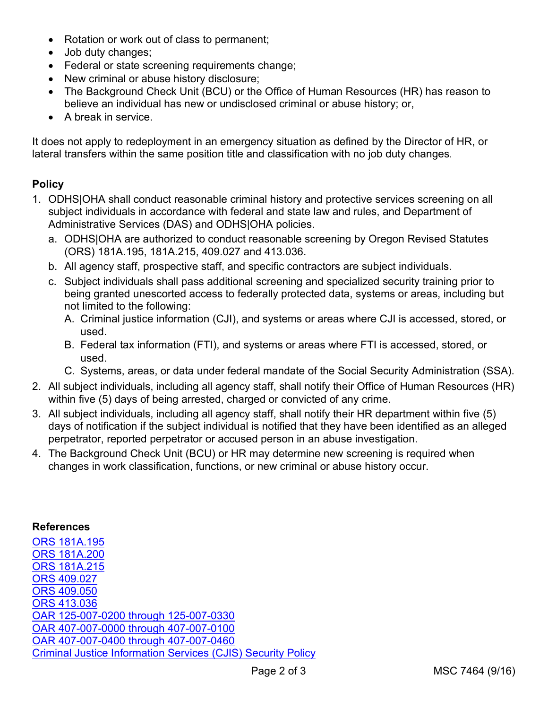- Rotation or work out of class to permanent;
- Job duty changes;
- Federal or state screening requirements change;
- New criminal or abuse history disclosure;
- The Background Check Unit (BCU) or the Office of Human Resources (HR) has reason to believe an individual has new or undisclosed criminal or abuse history; or,
- A break in service.

It does not apply to redeployment in an emergency situation as defined by the Director of HR, or lateral transfers within the same position title and classification with no job duty changes.

# **Policy**

- 1. ODHS|OHA shall conduct reasonable criminal history and protective services screening on all subject individuals in accordance with federal and state law and rules, and Department of Administrative Services (DAS) and ODHS|OHA policies.
	- a. ODHS|OHA are authorized to conduct reasonable screening by Oregon Revised Statutes (ORS) 181A.195, 181A.215, 409.027 and 413.036.
	- b. All agency staff, prospective staff, and specific contractors are subject individuals.
	- c. Subject individuals shall pass additional screening and specialized security training prior to being granted unescorted access to federally protected data, systems or areas, including but not limited to the following:
		- A. Criminal justice information (CJI), and systems or areas where CJI is accessed, stored, or used.
		- B. Federal tax information (FTI), and systems or areas where FTI is accessed, stored, or used.
		- C. Systems, areas, or data under federal mandate of the Social Security Administration (SSA).
- 2. All subject individuals, including all agency staff, shall notify their Office of Human Resources (HR) within five (5) days of being arrested, charged or convicted of any crime.
- 3. All subject individuals, including all agency staff, shall notify their HR department within five (5) days of notification if the subject individual is notified that they have been identified as an alleged perpetrator, reported perpetrator or accused person in an abuse investigation.
- 4. The Background Check Unit (BCU) or HR may determine new screening is required when changes in work classification, functions, or new criminal or abuse history occur.

#### **References**

[ORS 181A.195](https://www.oregonlegislature.gov/bills_laws/ors/ors181a.html) [ORS 181A.200](https://www.oregonlegislature.gov/bills_laws/ors/ors181a.html) [ORS 181A.215](https://www.oregonlegislature.gov/bills_laws/ors/ors181a.html) [ORS 409.027](https://www.oregonlegislature.gov/bills_laws/ors/ors409.html)  [ORS 409.050](https://www.oregonlegislature.gov/bills_laws/ors/ors409.html) [ORS 413.036](https://www.oregonlegislature.gov/bills_laws/ors/ors413.html) [OAR 125-007-0200 through 125-007-0330](https://www.oregon.gov/dhs/BUSINESS-SERVICES/CHC/Documents/DAS%20Criminal%20Records%20Checks%20rules%20eff%202016%20Jan%204.pdf) [OAR 407-007-0000 through 407-007-0100](https://secure.sos.state.or.us/oard/displayDivisionRules.action?selectedDivision=1626) [OAR 407-007-0400 through 407-007-0460](https://secure.sos.state.or.us/oard/displayDivisionRules.action?selectedDivision=1626) [Criminal Justice Information Services \(CJIS\) Security Policy](https://www.fbi.gov/services/cjis/cjis-security-policy-resource-center)